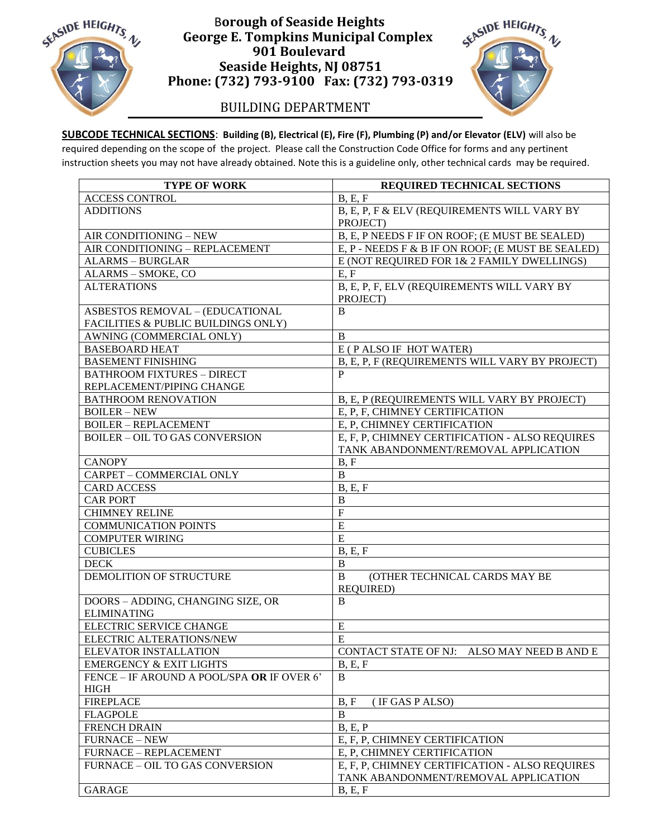

## B**orough of Seaside Heights George E. Tompkins Municipal Complex 901 Boulevard Seaside Heights, NJ 08751 Phone: (732) 793-9100 Fax: (732) 793-0319**

## BUILDING DEPARTMENT

SEASIDE HEIGHTS. N

**SUBCODE TECHNICAL SECTIONS**: **Building (B), Electrical (E), Fire (F), Plumbing (P) and/or Elevator (ELV)** will also be required depending on the scope of the project. Please call the Construction Code Office for forms and any pertinent instruction sheets you may not have already obtained. Note this is a guideline only, other technical cards may be required.

| <b>TYPE OF WORK</b>                                                           | REQUIRED TECHNICAL SECTIONS                                                            |
|-------------------------------------------------------------------------------|----------------------------------------------------------------------------------------|
| <b>ACCESS CONTROL</b>                                                         | B, E, F                                                                                |
| <b>ADDITIONS</b>                                                              | B, E, P, F & ELV (REQUIREMENTS WILL VARY BY<br>PROJECT)                                |
| AIR CONDITIONING - NEW                                                        | B, E, P NEEDS F IF ON ROOF; (E MUST BE SEALED)                                         |
| AIR CONDITIONING - REPLACEMENT                                                | E, P - NEEDS F & B IF ON ROOF; (E MUST BE SEALED)                                      |
| <b>ALARMS - BURGLAR</b>                                                       | E (NOT REQUIRED FOR 1& 2 FAMILY DWELLINGS)                                             |
| ALARMS - SMOKE, CO                                                            | E, F                                                                                   |
| <b>ALTERATIONS</b>                                                            | B, E, P, F, ELV (REQUIREMENTS WILL VARY BY<br>PROJECT)                                 |
| <b>ASBESTOS REMOVAL - (EDUCATIONAL</b><br>FACILITIES & PUBLIC BUILDINGS ONLY) | B                                                                                      |
| AWNING (COMMERCIAL ONLY)                                                      | $\overline{B}$                                                                         |
| <b>BASEBOARD HEAT</b>                                                         | E (PALSO IF HOT WATER)                                                                 |
| <b>BASEMENT FINISHING</b>                                                     | B, E, P, F (REQUIREMENTS WILL VARY BY PROJECT)                                         |
| <b>BATHROOM FIXTURES - DIRECT</b>                                             | P                                                                                      |
| REPLACEMENT/PIPING CHANGE                                                     |                                                                                        |
| <b>BATHROOM RENOVATION</b>                                                    | B, E, P (REQUIREMENTS WILL VARY BY PROJECT)                                            |
| <b>BOILER-NEW</b>                                                             | E, P, F, CHIMNEY CERTIFICATION                                                         |
| <b>BOILER - REPLACEMENT</b>                                                   | E, P, CHIMNEY CERTIFICATION                                                            |
| <b>BOILER - OIL TO GAS CONVERSION</b>                                         | E, F, P, CHIMNEY CERTIFICATION - ALSO REQUIRES<br>TANK ABANDONMENT/REMOVAL APPLICATION |
| <b>CANOPY</b>                                                                 | B, F                                                                                   |
| CARPET - COMMERCIAL ONLY                                                      | $\mathbf{B}$                                                                           |
| <b>CARD ACCESS</b>                                                            | B, E, F                                                                                |
| <b>CAR PORT</b>                                                               | $\, {\bf B}$                                                                           |
| <b>CHIMNEY RELINE</b>                                                         | $\overline{F}$                                                                         |
| <b>COMMUNICATION POINTS</b>                                                   | E                                                                                      |
| <b>COMPUTER WIRING</b>                                                        | E                                                                                      |
| <b>CUBICLES</b>                                                               | B, E, F                                                                                |
| <b>DECK</b>                                                                   | $\, {\bf B}$                                                                           |
| DEMOLITION OF STRUCTURE                                                       | $\bf{B}$<br>(OTHER TECHNICAL CARDS MAY BE<br>REQUIRED)                                 |
| DOORS - ADDING, CHANGING SIZE, OR<br><b>ELIMINATING</b>                       | B                                                                                      |
| ELECTRIC SERVICE CHANGE                                                       | E                                                                                      |
| ELECTRIC ALTERATIONS/NEW                                                      | E                                                                                      |
| ELEVATOR INSTALLATION                                                         | CONTACT STATE OF NJ: ALSO MAY NEED B AND E                                             |
| <b>EMERGENCY &amp; EXIT LIGHTS</b>                                            | B, E, F                                                                                |
| FENCE - IF AROUND A POOL/SPA OR IF OVER 6'                                    | B                                                                                      |
| <b>HIGH</b>                                                                   |                                                                                        |
| <b>FIREPLACE</b>                                                              | (IF GAS P ALSO)<br>B, F                                                                |
| <b>FLAGPOLE</b>                                                               | B                                                                                      |
| <b>FRENCH DRAIN</b>                                                           | B, E, P                                                                                |
| <b>FURNACE - NEW</b>                                                          | E, F, P, CHIMNEY CERTIFICATION                                                         |
| <b>FURNACE - REPLACEMENT</b>                                                  | E, P, CHIMNEY CERTIFICATION                                                            |
| FURNACE - OIL TO GAS CONVERSION                                               | E, F, P, CHIMNEY CERTIFICATION - ALSO REQUIRES                                         |
|                                                                               | TANK ABANDONMENT/REMOVAL APPLICATION                                                   |
| <b>GARAGE</b>                                                                 | B, E, F                                                                                |